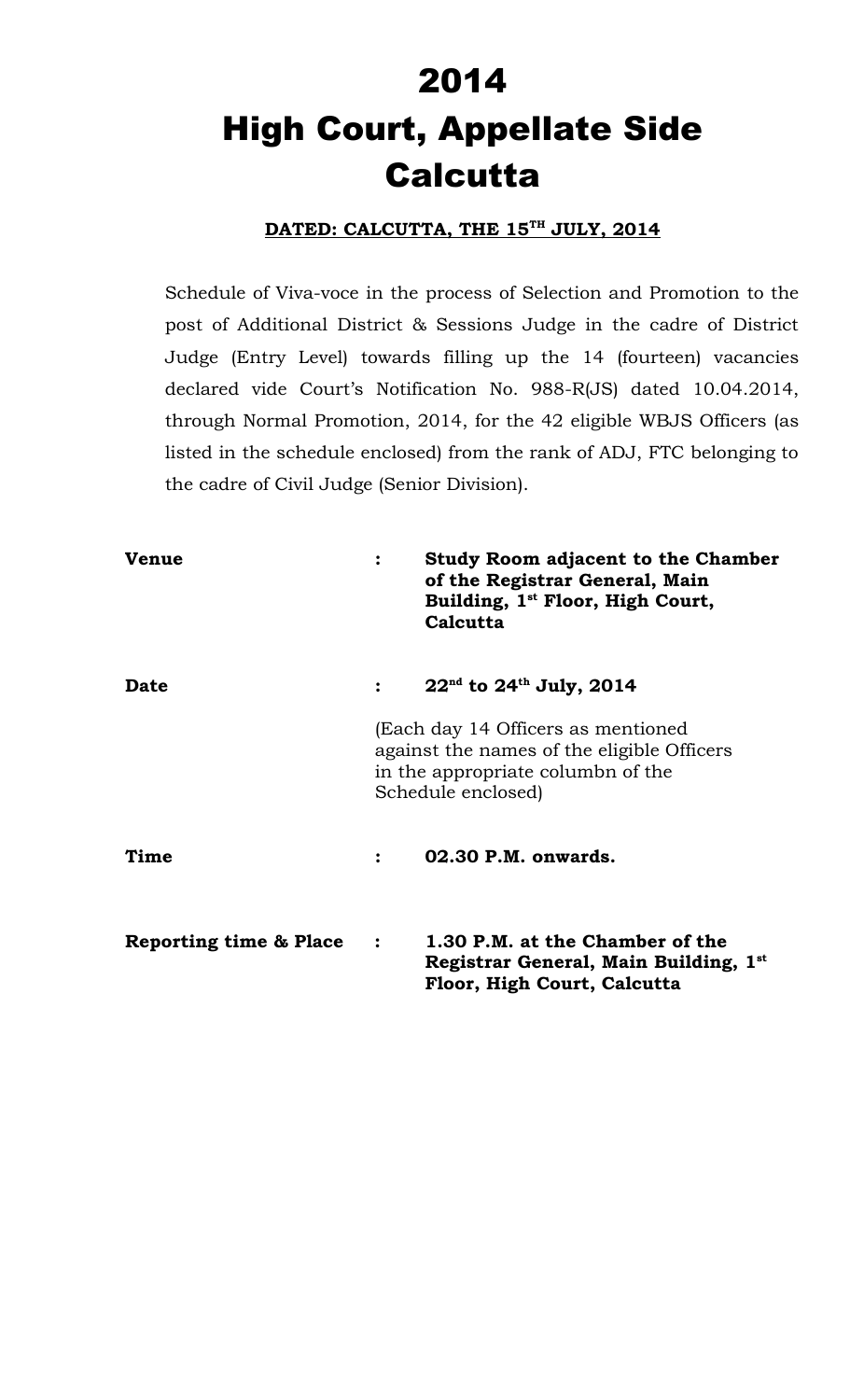# 2014 High Court, Appellate Side **Calcutta**

#### **DATED: CALCUTTA, THE 15TH JULY, 2014**

Schedule of Viva-voce in the process of Selection and Promotion to the post of Additional District & Sessions Judge in the cadre of District Judge (Entry Level) towards filling up the 14 (fourteen) vacancies declared vide Court's Notification No. 988-R(JS) dated 10.04.2014, through Normal Promotion, 2014, for the 42 eligible WBJS Officers (as listed in the schedule enclosed) from the rank of ADJ, FTC belonging to the cadre of Civil Judge (Senior Division).

| <b>Venue</b>           | $\ddot{\cdot}$                                                                                                                              | <b>Study Room adjacent to the Chamber</b><br>of the Registrar General, Main<br>Building, 1 <sup>st</sup> Floor, High Court,<br>Calcutta |
|------------------------|---------------------------------------------------------------------------------------------------------------------------------------------|-----------------------------------------------------------------------------------------------------------------------------------------|
| <b>Date</b>            |                                                                                                                                             | $22^{nd}$ to $24^{th}$ July, 2014                                                                                                       |
|                        | (Each day 14 Officers as mentioned<br>against the names of the eligible Officers<br>in the appropriate columbn of the<br>Schedule enclosed) |                                                                                                                                         |
| Time                   |                                                                                                                                             | 02.30 P.M. onwards.                                                                                                                     |
| Reporting time & Place | $\ddot{\cdot}$                                                                                                                              | 1.30 P.M. at the Chamber of the<br>Registrar General, Main Building, 1st<br>Floor, High Court, Calcutta                                 |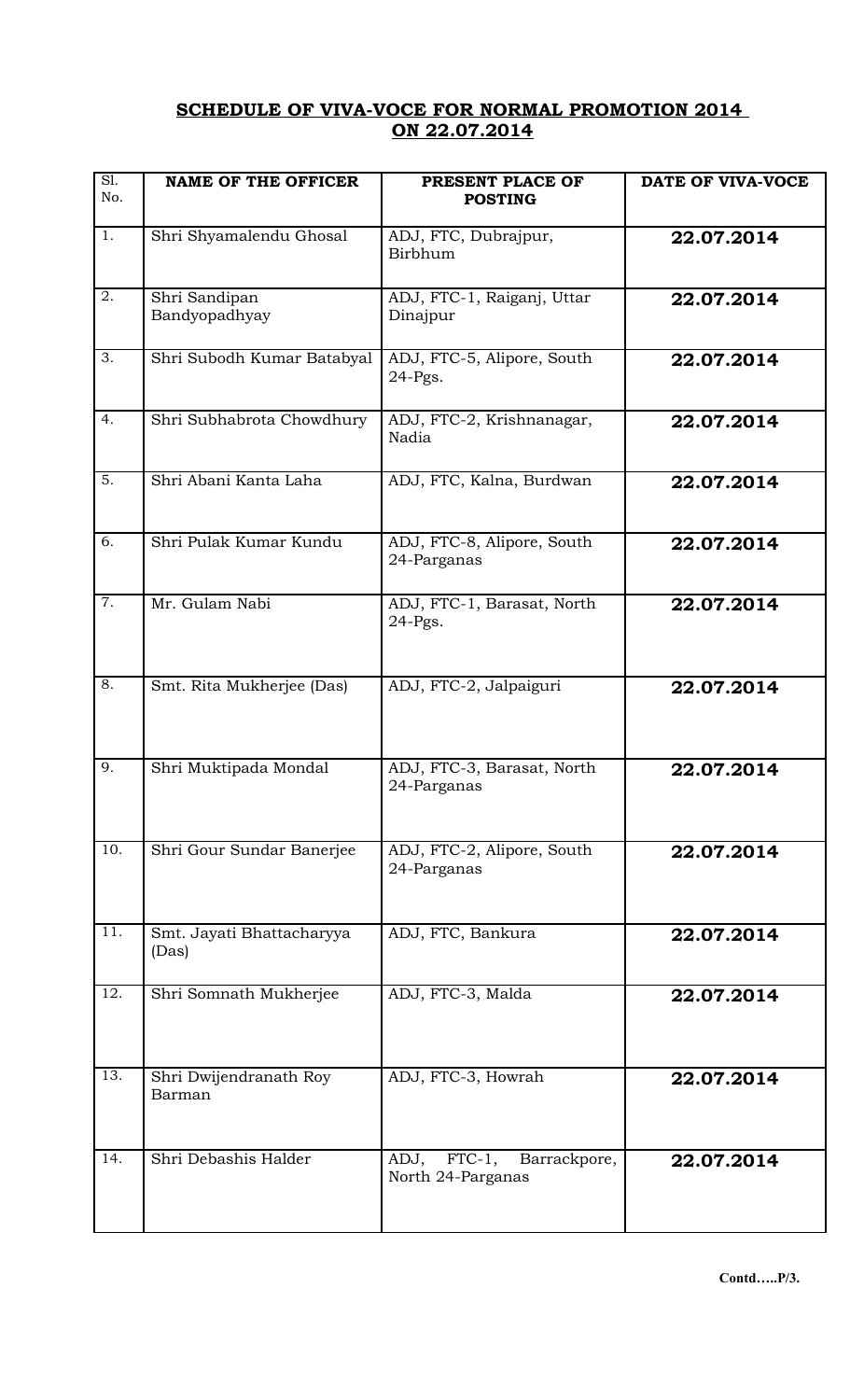## **SCHEDULE OF VIVA-VOCE FOR NORMAL PROMOTION 2014 ON 22.07.2014**

| S1.<br>No.       | <b>NAME OF THE OFFICER</b>         | PRESENT PLACE OF<br><b>POSTING</b>                     | DATE OF VIVA-VOCE |
|------------------|------------------------------------|--------------------------------------------------------|-------------------|
| 1.               | Shri Shyamalendu Ghosal            | ADJ, FTC, Dubrajpur,<br>Birbhum                        | 22.07.2014        |
| 2.               | Shri Sandipan<br>Bandyopadhyay     | ADJ, FTC-1, Raiganj, Uttar<br>Dinajpur                 | 22.07.2014        |
| 3.               | Shri Subodh Kumar Batabyal         | ADJ, FTC-5, Alipore, South<br>$24-Pgs.$                | 22.07.2014        |
| 4.               | Shri Subhabrota Chowdhury          | ADJ, FTC-2, Krishnanagar,<br>Nadia                     | 22.07.2014        |
| $\overline{5}$ . | Shri Abani Kanta Laha              | ADJ, FTC, Kalna, Burdwan                               | 22.07.2014        |
| 6.               | Shri Pulak Kumar Kundu             | ADJ, FTC-8, Alipore, South<br>24-Parganas              | 22.07.2014        |
| 7.               | Mr. Gulam Nabi                     | ADJ, FTC-1, Barasat, North<br>$24-Pgs.$                | 22.07.2014        |
| 8.               | Smt. Rita Mukherjee (Das)          | ADJ, FTC-2, Jalpaiguri                                 | 22.07.2014        |
| 9.               | Shri Muktipada Mondal              | ADJ, FTC-3, Barasat, North<br>24-Parganas              | 22.07.2014        |
| 10.              | Shri Gour Sundar Banerjee          | ADJ, FTC-2, Alipore, South<br>24-Parganas              | 22.07.2014        |
| 11.              | Smt. Jayati Bhattacharyya<br>(Das) | ADJ, FTC, Bankura                                      | 22.07.2014        |
| 12.              | Shri Somnath Mukherjee             | ADJ, FTC-3, Malda                                      | 22.07.2014        |
| 13.              | Shri Dwijendranath Roy<br>Barman   | ADJ, FTC-3, Howrah                                     | 22.07.2014        |
| 14.              | Shri Debashis Halder               | ADJ,<br>$FTC-1$ ,<br>Barrackpore,<br>North 24-Parganas | 22.07.2014        |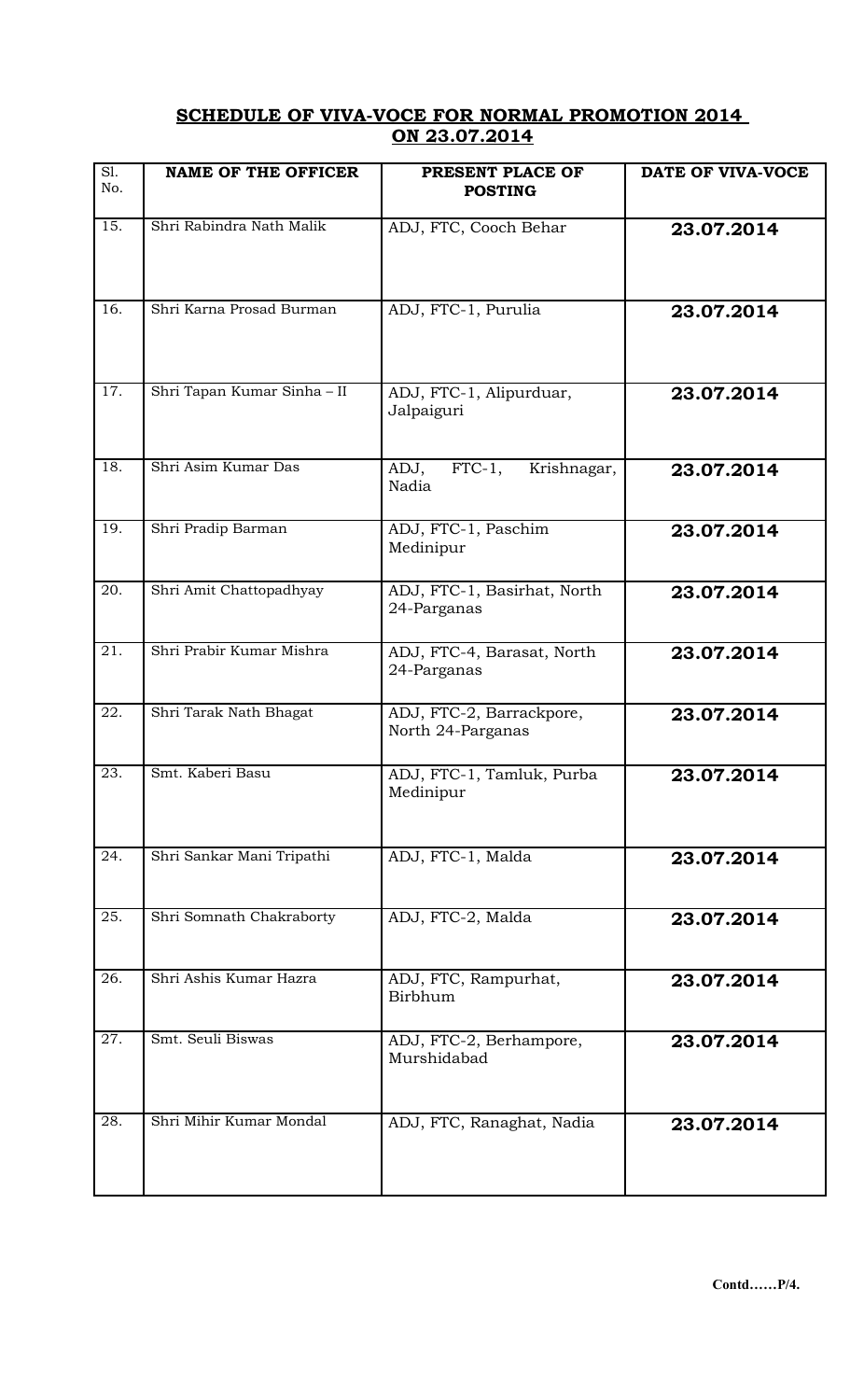## **SCHEDULE OF VIVA-VOCE FOR NORMAL PROMOTION 2014 ON 23.07.2014**

| $\overline{SI.}$<br>No. | <b>NAME OF THE OFFICER</b>  | PRESENT PLACE OF<br><b>POSTING</b>            | DATE OF VIVA-VOCE |
|-------------------------|-----------------------------|-----------------------------------------------|-------------------|
| 15.                     | Shri Rabindra Nath Malik    | ADJ, FTC, Cooch Behar                         | 23.07.2014        |
| 16.                     | Shri Karna Prosad Burman    | ADJ, FTC-1, Purulia                           | 23.07.2014        |
| 17.                     | Shri Tapan Kumar Sinha - II | ADJ, FTC-1, Alipurduar,<br>Jalpaiguri         | 23.07.2014        |
| 18.                     | Shri Asim Kumar Das         | ADJ,<br>$FTC-1$ ,<br>Krishnagar,<br>Nadia     | 23.07.2014        |
| 19.                     | Shri Pradip Barman          | ADJ, FTC-1, Paschim<br>Medinipur              | 23.07.2014        |
| 20.                     | Shri Amit Chattopadhyay     | ADJ, FTC-1, Basirhat, North<br>24-Parganas    | 23.07.2014        |
| $\overline{21}$ .       | Shri Prabir Kumar Mishra    | ADJ, FTC-4, Barasat, North<br>24-Parganas     | 23.07.2014        |
| 22.                     | Shri Tarak Nath Bhagat      | ADJ, FTC-2, Barrackpore,<br>North 24-Parganas | 23.07.2014        |
| 23.                     | Smt. Kaberi Basu            | ADJ, FTC-1, Tamluk, Purba<br>Medinipur        | 23.07.2014        |
| 24.                     | Shri Sankar Mani Tripathi   | ADJ, FTC-1, Malda                             | 23.07.2014        |
| 25.                     | Shri Somnath Chakraborty    | ADJ, FTC-2, Malda                             | 23.07.2014        |
| 26.                     | Shri Ashis Kumar Hazra      | ADJ, FTC, Rampurhat,<br>Birbhum               | 23.07.2014        |
| 27.                     | Smt. Seuli Biswas           | ADJ, FTC-2, Berhampore,<br>Murshidabad        | 23.07.2014        |
| 28.                     | Shri Mihir Kumar Mondal     | ADJ, FTC, Ranaghat, Nadia                     | 23.07.2014        |